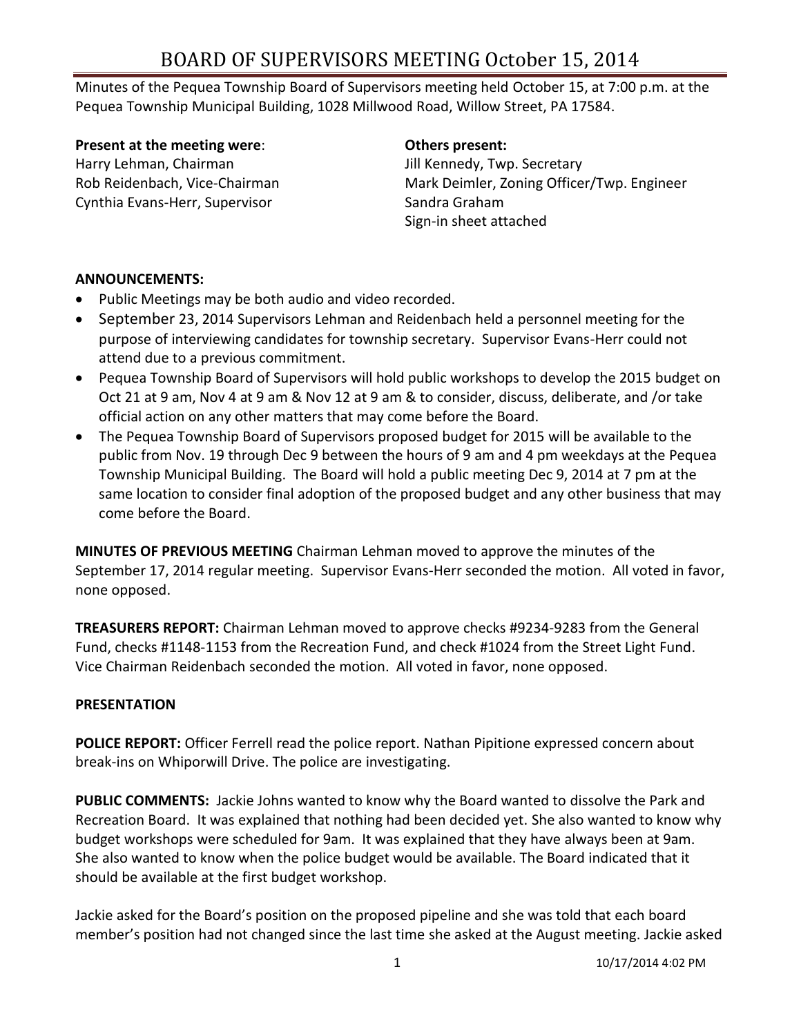Minutes of the Pequea Township Board of Supervisors meeting held October 15, at 7:00 p.m. at the Pequea Township Municipal Building, 1028 Millwood Road, Willow Street, PA 17584.

#### **Present at the meeting were**: **Others present:**

Harry Lehman, Chairman **Jill Kennedy, Twp. Secretary** Cynthia Evans-Herr, Supervisor Sandra Graham

Rob Reidenbach, Vice-Chairman Mark Deimler, Zoning Officer/Twp. Engineer Sign-in sheet attached

#### **ANNOUNCEMENTS:**

- Public Meetings may be both audio and video recorded.
- September 23, 2014 Supervisors Lehman and Reidenbach held a personnel meeting for the purpose of interviewing candidates for township secretary. Supervisor Evans-Herr could not attend due to a previous commitment.
- Pequea Township Board of Supervisors will hold public workshops to develop the 2015 budget on Oct 21 at 9 am, Nov 4 at 9 am & Nov 12 at 9 am & to consider, discuss, deliberate, and /or take official action on any other matters that may come before the Board.
- The Pequea Township Board of Supervisors proposed budget for 2015 will be available to the public from Nov. 19 through Dec 9 between the hours of 9 am and 4 pm weekdays at the Pequea Township Municipal Building. The Board will hold a public meeting Dec 9, 2014 at 7 pm at the same location to consider final adoption of the proposed budget and any other business that may come before the Board.

**MINUTES OF PREVIOUS MEETING** Chairman Lehman moved to approve the minutes of the September 17, 2014 regular meeting. Supervisor Evans-Herr seconded the motion. All voted in favor, none opposed.

**TREASURERS REPORT:** Chairman Lehman moved to approve checks #9234-9283 from the General Fund, checks #1148-1153 from the Recreation Fund, and check #1024 from the Street Light Fund. Vice Chairman Reidenbach seconded the motion. All voted in favor, none opposed.

### **PRESENTATION**

**POLICE REPORT:** Officer Ferrell read the police report. Nathan Pipitione expressed concern about break-ins on Whiporwill Drive. The police are investigating.

**PUBLIC COMMENTS:** Jackie Johns wanted to know why the Board wanted to dissolve the Park and Recreation Board. It was explained that nothing had been decided yet. She also wanted to know why budget workshops were scheduled for 9am. It was explained that they have always been at 9am. She also wanted to know when the police budget would be available. The Board indicated that it should be available at the first budget workshop.

Jackie asked for the Board's position on the proposed pipeline and she was told that each board member's position had not changed since the last time she asked at the August meeting. Jackie asked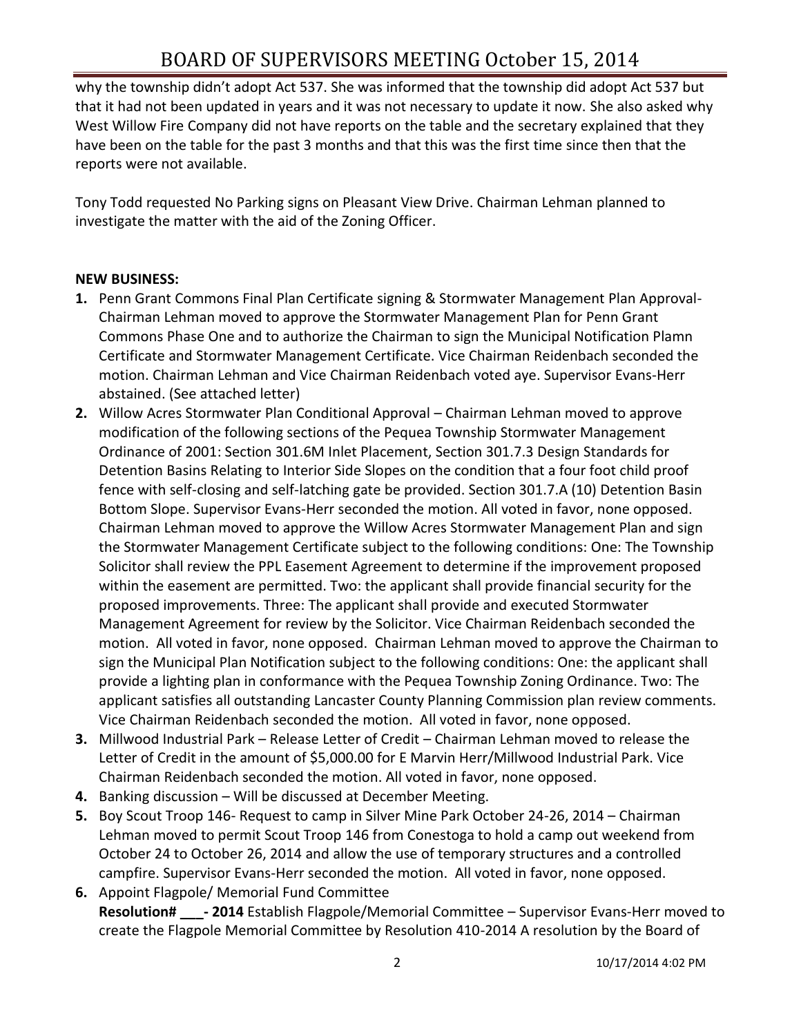why the township didn't adopt Act 537. She was informed that the township did adopt Act 537 but that it had not been updated in years and it was not necessary to update it now. She also asked why West Willow Fire Company did not have reports on the table and the secretary explained that they have been on the table for the past 3 months and that this was the first time since then that the reports were not available.

Tony Todd requested No Parking signs on Pleasant View Drive. Chairman Lehman planned to investigate the matter with the aid of the Zoning Officer.

#### **NEW BUSINESS:**

- **1.** Penn Grant Commons Final Plan Certificate signing & Stormwater Management Plan Approval-Chairman Lehman moved to approve the Stormwater Management Plan for Penn Grant Commons Phase One and to authorize the Chairman to sign the Municipal Notification Plamn Certificate and Stormwater Management Certificate. Vice Chairman Reidenbach seconded the motion. Chairman Lehman and Vice Chairman Reidenbach voted aye. Supervisor Evans-Herr abstained. (See attached letter)
- **2.** Willow Acres Stormwater Plan Conditional Approval Chairman Lehman moved to approve modification of the following sections of the Pequea Township Stormwater Management Ordinance of 2001: Section 301.6M Inlet Placement, Section 301.7.3 Design Standards for Detention Basins Relating to Interior Side Slopes on the condition that a four foot child proof fence with self-closing and self-latching gate be provided. Section 301.7.A (10) Detention Basin Bottom Slope. Supervisor Evans-Herr seconded the motion. All voted in favor, none opposed. Chairman Lehman moved to approve the Willow Acres Stormwater Management Plan and sign the Stormwater Management Certificate subject to the following conditions: One: The Township Solicitor shall review the PPL Easement Agreement to determine if the improvement proposed within the easement are permitted. Two: the applicant shall provide financial security for the proposed improvements. Three: The applicant shall provide and executed Stormwater Management Agreement for review by the Solicitor. Vice Chairman Reidenbach seconded the motion. All voted in favor, none opposed. Chairman Lehman moved to approve the Chairman to sign the Municipal Plan Notification subject to the following conditions: One: the applicant shall provide a lighting plan in conformance with the Pequea Township Zoning Ordinance. Two: The applicant satisfies all outstanding Lancaster County Planning Commission plan review comments. Vice Chairman Reidenbach seconded the motion. All voted in favor, none opposed.
- **3.** Millwood Industrial Park Release Letter of Credit Chairman Lehman moved to release the Letter of Credit in the amount of \$5,000.00 for E Marvin Herr/Millwood Industrial Park. Vice Chairman Reidenbach seconded the motion. All voted in favor, none opposed.
- **4.** Banking discussion Will be discussed at December Meeting.
- **5.** Boy Scout Troop 146- Request to camp in Silver Mine Park October 24-26, 2014 Chairman Lehman moved to permit Scout Troop 146 from Conestoga to hold a camp out weekend from October 24 to October 26, 2014 and allow the use of temporary structures and a controlled campfire. Supervisor Evans-Herr seconded the motion. All voted in favor, none opposed.
- **6.** Appoint Flagpole/ Memorial Fund Committee **Resolution# \_\_\_- 2014** Establish Flagpole/Memorial Committee – Supervisor Evans-Herr moved to create the Flagpole Memorial Committee by Resolution 410-2014 A resolution by the Board of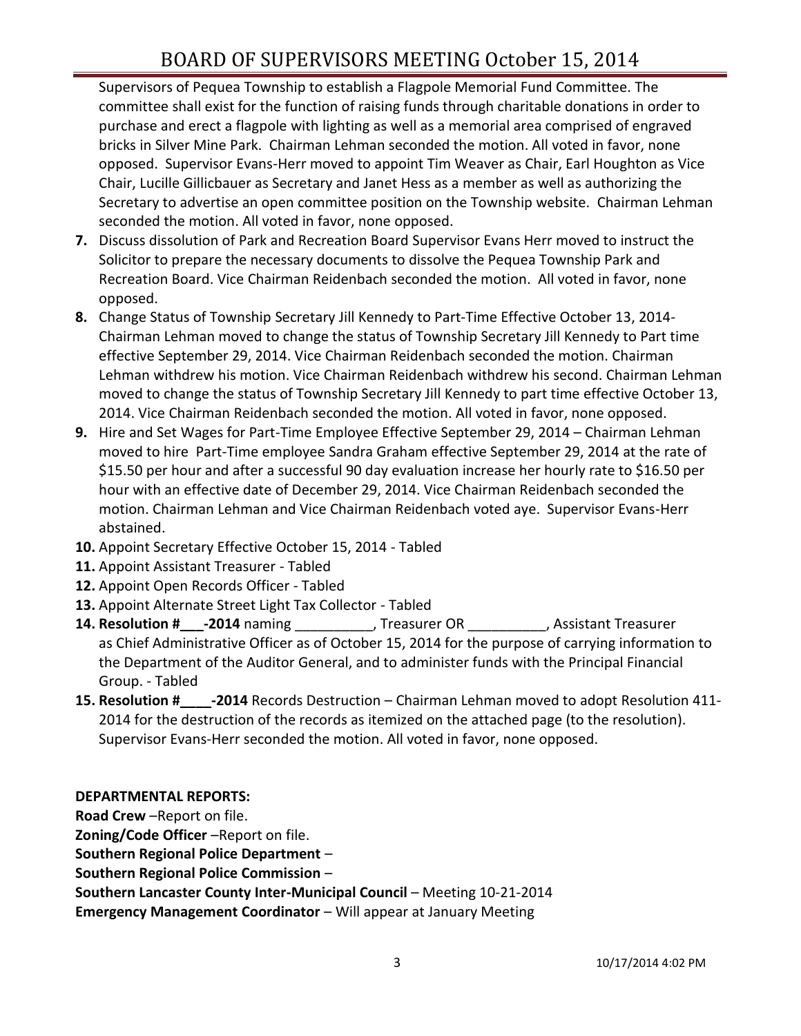Supervisors of Pequea Township to establish a Flagpole Memorial Fund Committee. The committee shall exist for the function of raising funds through charitable donations in order to purchase and erect a flagpole with lighting as well as a memorial area comprised of engraved bricks in Silver Mine Park. Chairman Lehman seconded the motion. All voted in favor, none opposed. Supervisor Evans-Herr moved to appoint Tim Weaver as Chair, Earl Houghton as Vice Chair, Lucille Gillicbauer as Secretary and Janet Hess as a member as well as authorizing the Secretary to advertise an open committee position on the Township website. Chairman Lehman seconded the motion. All voted in favor, none opposed.

- **7.** Discuss dissolution of Park and Recreation Board Supervisor Evans Herr moved to instruct the Solicitor to prepare the necessary documents to dissolve the Pequea Township Park and Recreation Board. Vice Chairman Reidenbach seconded the motion. All voted in favor, none opposed.
- **8.** Change Status of Township Secretary Jill Kennedy to Part-Time Effective October 13, 2014- Chairman Lehman moved to change the status of Township Secretary Jill Kennedy to Part time effective September 29, 2014. Vice Chairman Reidenbach seconded the motion. Chairman Lehman withdrew his motion. Vice Chairman Reidenbach withdrew his second. Chairman Lehman moved to change the status of Township Secretary Jill Kennedy to part time effective October 13, 2014. Vice Chairman Reidenbach seconded the motion. All voted in favor, none opposed.
- **9.** Hire and Set Wages for Part-Time Employee Effective September 29, 2014 Chairman Lehman moved to hire Part-Time employee Sandra Graham effective September 29, 2014 at the rate of \$15.50 per hour and after a successful 90 day evaluation increase her hourly rate to \$16.50 per hour with an effective date of December 29, 2014. Vice Chairman Reidenbach seconded the motion. Chairman Lehman and Vice Chairman Reidenbach voted aye. Supervisor Evans-Herr abstained.
- **10.** Appoint Secretary Effective October 15, 2014 Tabled
- **11.** Appoint Assistant Treasurer Tabled
- **12.** Appoint Open Records Officer Tabled
- **13.** Appoint Alternate Street Light Tax Collector Tabled
- **14. Resolution #\_\_\_-2014** naming \_\_\_\_\_\_\_\_\_\_, Treasurer OR \_\_\_\_\_\_\_\_\_\_, Assistant Treasurer as Chief Administrative Officer as of October 15, 2014 for the purpose of carrying information to the Department of the Auditor General, and to administer funds with the Principal Financial Group. - Tabled
- **15. Resolution #\_\_\_\_-2014** Records Destruction Chairman Lehman moved to adopt Resolution 411- 2014 for the destruction of the records as itemized on the attached page (to the resolution). Supervisor Evans-Herr seconded the motion. All voted in favor, none opposed.

#### **DEPARTMENTAL REPORTS:**

**Road Crew** –Report on file.

**Zoning/Code Officer** –Report on file.

**Southern Regional Police Department** –

**Southern Regional Police Commission** –

**Southern Lancaster County Inter-Municipal Council** – Meeting 10-21-2014

**Emergency Management Coordinator - Will appear at January Meeting**